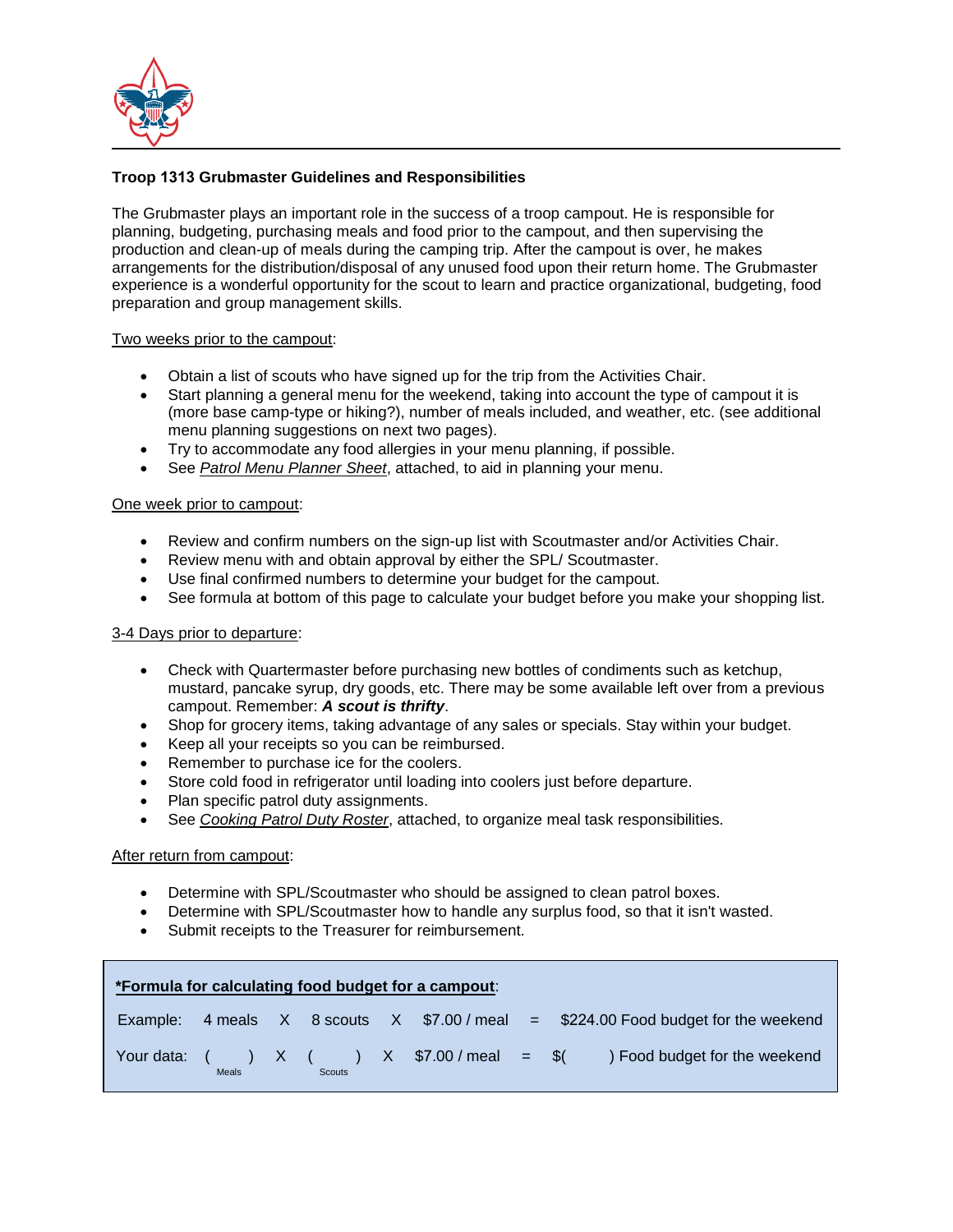

# **Troop 1313 Grubmaster Guidelines and Responsibilities**

The Grubmaster plays an important role in the success of a troop campout. He is responsible for planning, budgeting, purchasing meals and food prior to the campout, and then supervising the production and clean-up of meals during the camping trip. After the campout is over, he makes arrangements for the distribution/disposal of any unused food upon their return home. The Grubmaster experience is a wonderful opportunity for the scout to learn and practice organizational, budgeting, food preparation and group management skills.

## Two weeks prior to the campout:

- Obtain a list of scouts who have signed up for the trip from the Activities Chair.
- Start planning a general menu for the weekend, taking into account the type of campout it is (more base camp-type or hiking?), number of meals included, and weather, etc. (see additional menu planning suggestions on next two pages).
- Try to accommodate any food allergies in your menu planning, if possible.
- See *Patrol Menu Planner Sheet*, attached, to aid in planning your menu.

## One week prior to campout:

- Review and confirm numbers on the sign-up list with Scoutmaster and/or Activities Chair.
- Review menu with and obtain approval by either the SPL/ Scoutmaster.
- Use final confirmed numbers to determine your budget for the campout.
- See formula at bottom of this page to calculate your budget before you make your shopping list.

## 3-4 Days prior to departure:

- Check with Quartermaster before purchasing new bottles of condiments such as ketchup, mustard, pancake syrup, dry goods, etc. There may be some available left over from a previous campout. Remember: *A scout is thrifty*.
- Shop for grocery items, taking advantage of any sales or specials. Stay within your budget.
- Keep all your receipts so you can be reimbursed.
- Remember to purchase ice for the coolers.
- Store cold food in refrigerator until loading into coolers just before departure.
- Plan specific patrol duty assignments.
- See *Cooking Patrol Duty Roster*, attached, to organize meal task responsibilities*.*

## After return from campout:

- Determine with SPL/Scoutmaster who should be assigned to clean patrol boxes.
- Determine with SPL/Scoutmaster how to handle any surplus food, so that it isn't wasted.
- Submit receipts to the Treasurer for reimbursement.

|          |              |               | *Formula for calculating food budget for a campout: |                                                                                     |
|----------|--------------|---------------|-----------------------------------------------------|-------------------------------------------------------------------------------------|
| Example: |              |               |                                                     | 4 meals $X = 8$ scouts $X = 100$ meal = \$224.00 Food budget for the weekend        |
|          | <b>Meals</b> | <b>Scouts</b> |                                                     | Your data: $($ $)$ X $($ $)$ X $$7.00/m$ eal = $$($ $)$ Food budget for the weekend |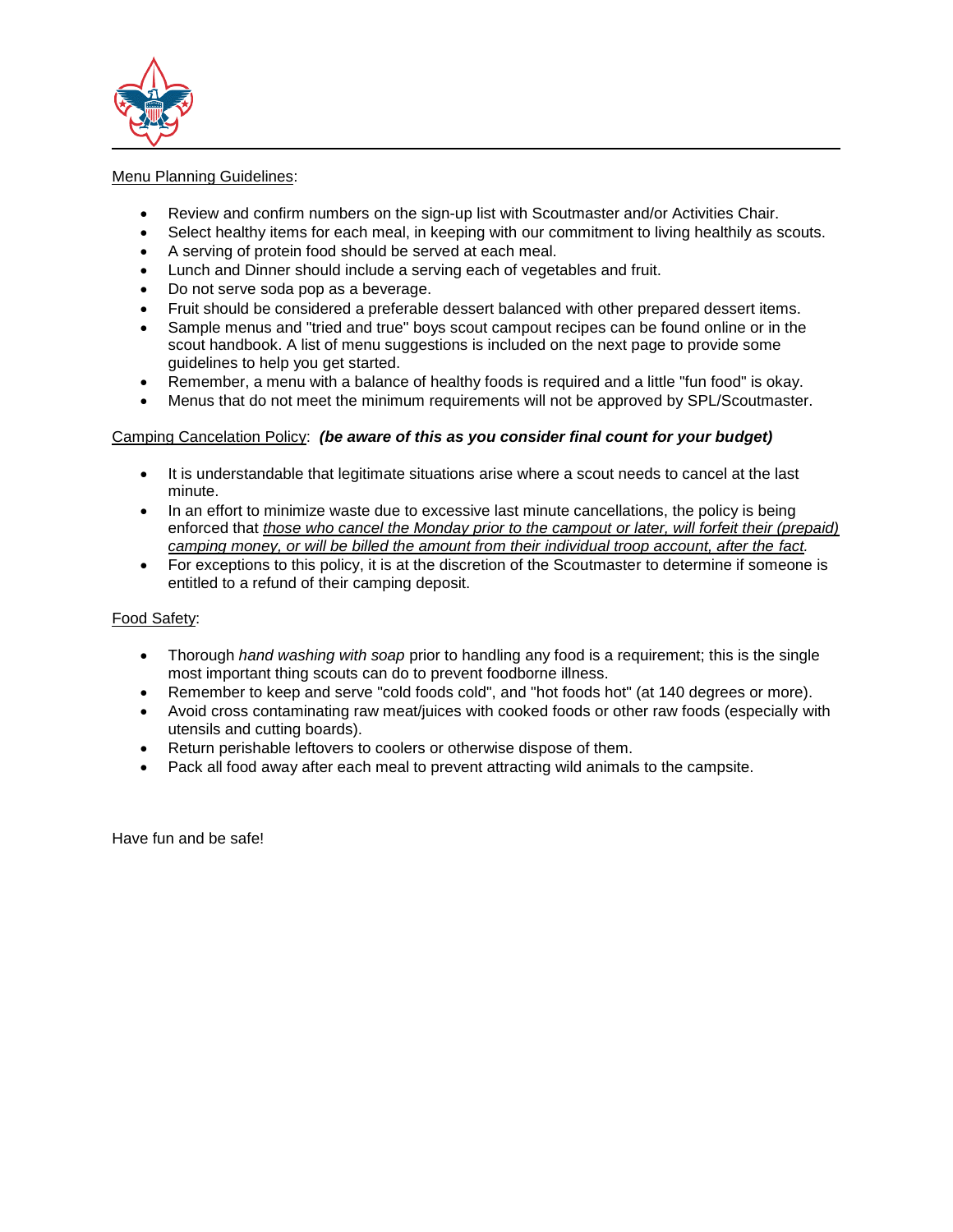

# Menu Planning Guidelines:

- Review and confirm numbers on the sign-up list with Scoutmaster and/or Activities Chair.
- Select healthy items for each meal, in keeping with our commitment to living healthily as scouts.
- A serving of protein food should be served at each meal.
- Lunch and Dinner should include a serving each of vegetables and fruit.
- Do not serve soda pop as a beverage.
- Fruit should be considered a preferable dessert balanced with other prepared dessert items.
- Sample menus and "tried and true" boys scout campout recipes can be found online or in the scout handbook. A list of menu suggestions is included on the next page to provide some guidelines to help you get started.
- Remember, a menu with a balance of healthy foods is required and a little "fun food" is okay.
- Menus that do not meet the minimum requirements will not be approved by SPL/Scoutmaster.

# Camping Cancelation Policy: *(be aware of this as you consider final count for your budget)*

- It is understandable that legitimate situations arise where a scout needs to cancel at the last minute.
- In an effort to minimize waste due to excessive last minute cancellations, the policy is being enforced that *those who cancel the Monday prior to the campout or later, will forfeit their (prepaid) camping money, or will be billed the amount from their individual troop account, after the fact.*
- For exceptions to this policy, it is at the discretion of the Scoutmaster to determine if someone is entitled to a refund of their camping deposit.

# Food Safety:

- Thorough *hand washing with soap* prior to handling any food is a requirement; this is the single most important thing scouts can do to prevent foodborne illness.
- Remember to keep and serve "cold foods cold", and "hot foods hot" (at 140 degrees or more).
- Avoid cross contaminating raw meat/juices with cooked foods or other raw foods (especially with utensils and cutting boards).
- Return perishable leftovers to coolers or otherwise dispose of them.
- Pack all food away after each meal to prevent attracting wild animals to the campsite.

Have fun and be safe!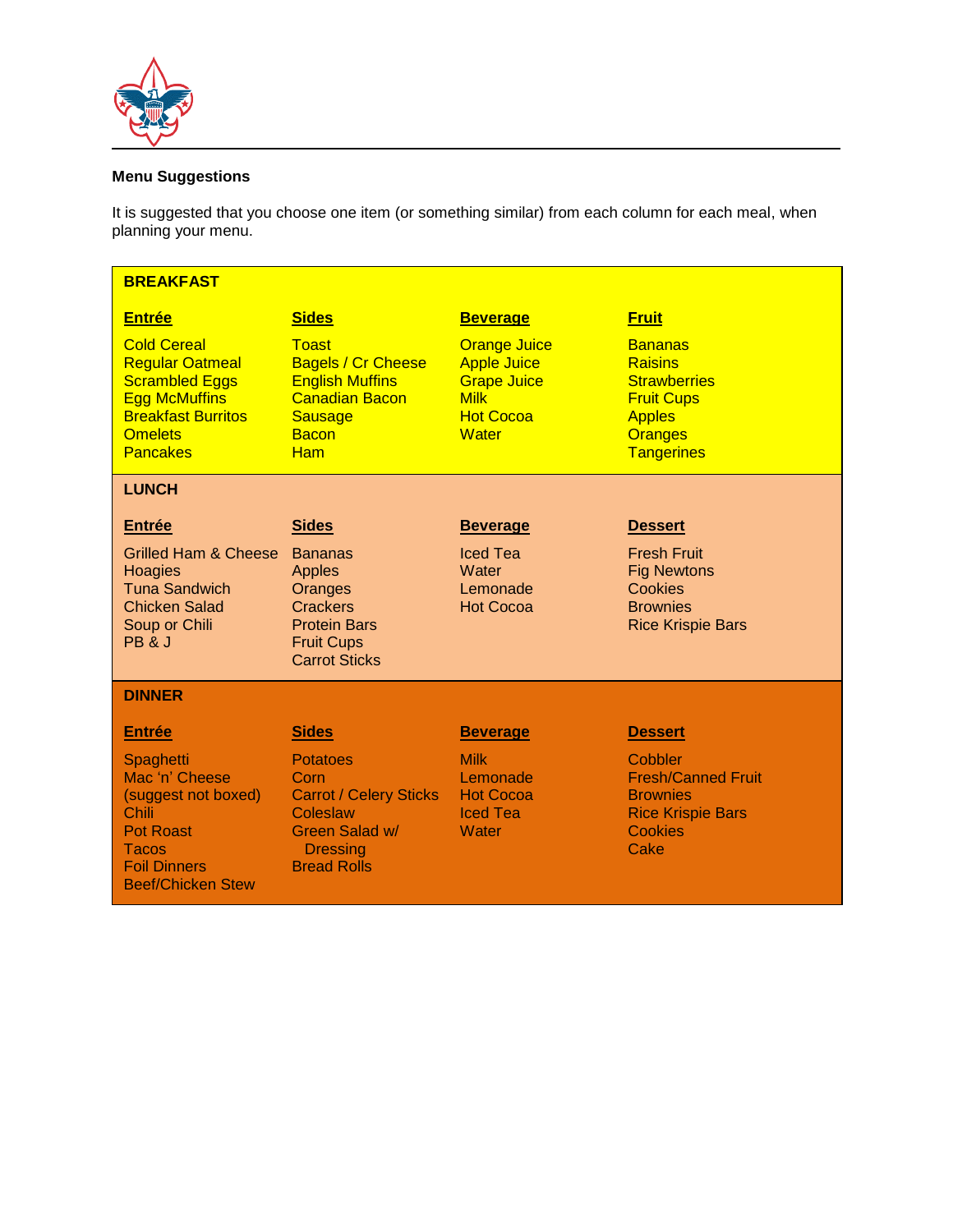

# **Menu Suggestions**

It is suggested that you choose one item (or something similar) from each column for each meal, when planning your menu.

| <b>BREAKFAST</b>                                                                                                                                                |                                                                                                                                              |                                                                                                                    |                                                                                                                                      |
|-----------------------------------------------------------------------------------------------------------------------------------------------------------------|----------------------------------------------------------------------------------------------------------------------------------------------|--------------------------------------------------------------------------------------------------------------------|--------------------------------------------------------------------------------------------------------------------------------------|
| <b>Entrée</b>                                                                                                                                                   | <b>Sides</b>                                                                                                                                 | <b>Beverage</b>                                                                                                    | <b>Fruit</b>                                                                                                                         |
| <b>Cold Cereal</b><br><b>Regular Oatmeal</b><br><b>Scrambled Eggs</b><br><b>Egg McMuffins</b><br><b>Breakfast Burritos</b><br><b>Omelets</b><br><b>Pancakes</b> | <b>Toast</b><br><b>Bagels / Cr Cheese</b><br><b>English Muffins</b><br><b>Canadian Bacon</b><br><b>Sausage</b><br><b>Bacon</b><br><b>Ham</b> | <b>Orange Juice</b><br><b>Apple Juice</b><br><b>Grape Juice</b><br><b>Milk</b><br><b>Hot Cocoa</b><br><b>Water</b> | <b>Bananas</b><br><b>Raisins</b><br><b>Strawberries</b><br><b>Fruit Cups</b><br><b>Apples</b><br><b>Oranges</b><br><b>Tangerines</b> |
| <b>LUNCH</b>                                                                                                                                                    |                                                                                                                                              |                                                                                                                    |                                                                                                                                      |
| <b>Entrée</b>                                                                                                                                                   | <b>Sides</b>                                                                                                                                 | <b>Beverage</b>                                                                                                    | <b>Dessert</b>                                                                                                                       |
| <b>Grilled Ham &amp; Cheese</b><br>Hoagies<br><b>Tuna Sandwich</b><br><b>Chicken Salad</b><br>Soup or Chili<br>PB & J                                           | <b>Bananas</b><br><b>Apples</b><br>Oranges<br>Crackers<br><b>Protein Bars</b><br><b>Fruit Cups</b><br><b>Carrot Sticks</b>                   | <b>Iced Tea</b><br>Water<br>Lemonade<br><b>Hot Cocoa</b>                                                           | <b>Fresh Fruit</b><br><b>Fig Newtons</b><br>Cookies<br><b>Brownies</b><br><b>Rice Krispie Bars</b>                                   |
| <b>DINNER</b>                                                                                                                                                   |                                                                                                                                              |                                                                                                                    |                                                                                                                                      |
| <b>Entrée</b>                                                                                                                                                   | <b>Sides</b>                                                                                                                                 | <b>Beverage</b>                                                                                                    | <b>Dessert</b>                                                                                                                       |
| Spaghetti<br>Mac 'n' Cheese<br>(suggest not boxed)<br>Chili<br><b>Pot Roast</b><br>Tacos<br><b>Foil Dinners</b><br><b>Beef/Chicken Stew</b>                     | <b>Potatoes</b><br>Corn<br><b>Carrot / Celery Sticks</b><br>Coleslaw<br>Green Salad w/<br><b>Dressing</b><br><b>Bread Rolls</b>              | <b>Milk</b><br>Lemonade<br><b>Hot Cocoa</b><br><b>Iced Tea</b><br>Water                                            | Cobbler<br><b>Fresh/Canned Fruit</b><br><b>Brownies</b><br><b>Rice Krispie Bars</b><br>Cookies<br>Cake                               |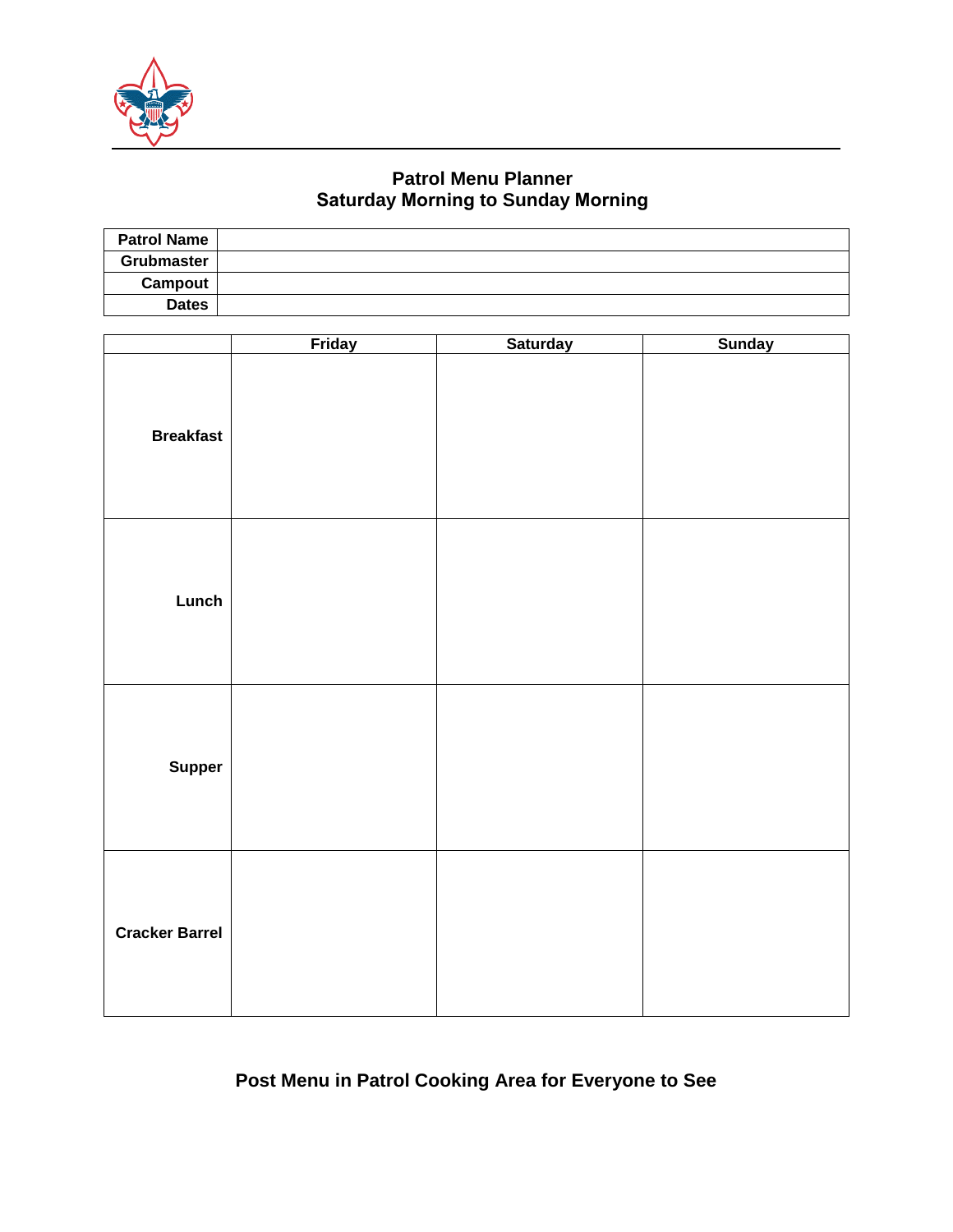

# **Patrol Menu Planner Saturday Morning to Sunday Morning**

| <b>Patrol Name</b> |  |
|--------------------|--|
| Grubmaster         |  |
| Campout            |  |
| <b>Dates</b>       |  |

|                       | <b>Friday</b> | <b>Saturday</b> | <b>Sunday</b> |
|-----------------------|---------------|-----------------|---------------|
| <b>Breakfast</b>      |               |                 |               |
| Lunch                 |               |                 |               |
| <b>Supper</b>         |               |                 |               |
| <b>Cracker Barrel</b> |               |                 |               |

# **Post Menu in Patrol Cooking Area for Everyone to See**